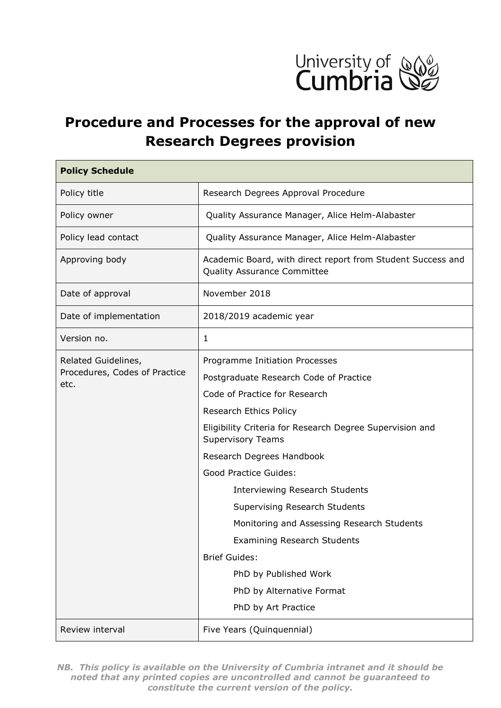

# **Procedure and Processes for the approval of new Research Degrees provision**

| <b>Policy Schedule</b>                               |                                                                                            |  |  |  |
|------------------------------------------------------|--------------------------------------------------------------------------------------------|--|--|--|
| Policy title                                         | Research Degrees Approval Procedure                                                        |  |  |  |
| Policy owner                                         | Quality Assurance Manager, Alice Helm-Alabaster                                            |  |  |  |
| Policy lead contact                                  | Quality Assurance Manager, Alice Helm-Alabaster                                            |  |  |  |
| Approving body                                       | Academic Board, with direct report from Student Success and<br>Quality Assurance Committee |  |  |  |
| Date of approval                                     | November 2018                                                                              |  |  |  |
| Date of implementation                               | 2018/2019 academic year                                                                    |  |  |  |
| Version no.                                          | $\mathbf{1}$                                                                               |  |  |  |
| Related Guidelines,<br>Procedures, Codes of Practice | Programme Initiation Processes                                                             |  |  |  |
|                                                      | Postgraduate Research Code of Practice                                                     |  |  |  |
| etc.                                                 | Code of Practice for Research                                                              |  |  |  |
|                                                      | Research Ethics Policy                                                                     |  |  |  |
|                                                      | Eligibility Criteria for Research Degree Supervision and<br><b>Supervisory Teams</b>       |  |  |  |
|                                                      | Research Degrees Handbook                                                                  |  |  |  |
|                                                      | <b>Good Practice Guides:</b>                                                               |  |  |  |
|                                                      | <b>Interviewing Research Students</b>                                                      |  |  |  |
|                                                      | <b>Supervising Research Students</b>                                                       |  |  |  |
|                                                      | Monitoring and Assessing Research Students                                                 |  |  |  |
|                                                      | <b>Examining Research Students</b>                                                         |  |  |  |
|                                                      | <b>Brief Guides:</b>                                                                       |  |  |  |
|                                                      | PhD by Published Work                                                                      |  |  |  |
|                                                      | PhD by Alternative Format                                                                  |  |  |  |
|                                                      | PhD by Art Practice                                                                        |  |  |  |
| Review interval                                      | Five Years (Quinquennial)                                                                  |  |  |  |

*NB. This policy is available on the University of Cumbria intranet and it should be noted that any printed copies are uncontrolled and cannot be guaranteed to constitute the current version of the policy.*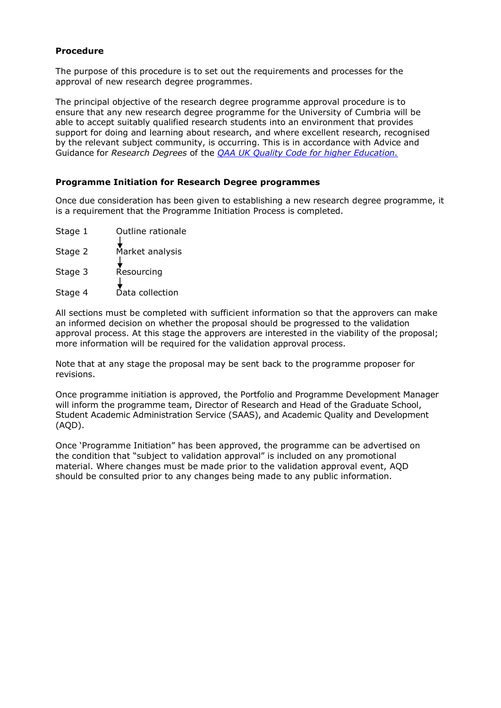# **Procedure**

The purpose of this procedure is to set out the requirements and processes for the approval of new research degree programmes.

The principal objective of the research degree programme approval procedure is to ensure that any new research degree programme for the University of Cumbria will be able to accept suitably qualified research students into an environment that provides support for doing and learning about research, and where excellent research, recognised by the relevant subject community, is occurring. This is in accordance with Advice and Guidance for *Research Degrees* of the *[QAA UK Quality](https://www.qaa.ac.uk/docs/qaa/quality-code/advice-and-guidance-research-degrees.pdf?sfvrsn=b424c181_2) Code for higher Education.*

### **Programme Initiation for Research Degree programmes**

Once due consideration has been given to establishing a new research degree programme, it is a requirement that the Programme Initiation Process is completed.

- Stage 1 Outline rationale
- Stage 2 Market analysis
- Stage 3 Resourcing
- Stage 4 Data collection

All sections must be completed with sufficient information so that the approvers can make an informed decision on whether the proposal should be progressed to the validation approval process. At this stage the approvers are interested in the viability of the proposal; more information will be required for the validation approval process.

Note that at any stage the proposal may be sent back to the programme proposer for revisions.

Once programme initiation is approved, the Portfolio and Programme Development Manager will inform the programme team, Director of Research and Head of the Graduate School, Student Academic Administration Service (SAAS), and Academic Quality and Development (AQD).

Once 'Programme Initiation" has been approved, the programme can be advertised on the condition that "subject to validation approval" is included on any promotional material. Where changes must be made prior to the validation approval event, AQD should be consulted prior to any changes being made to any public information.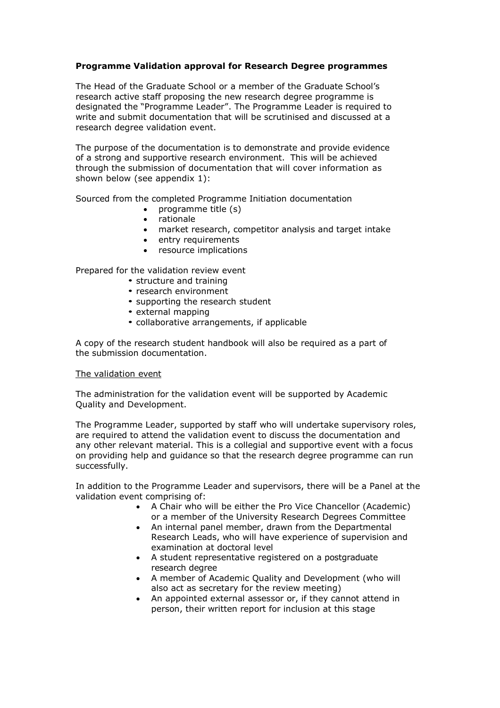# **Programme Validation approval for Research Degree programmes**

The Head of the Graduate School or a member of the Graduate School's research active staff proposing the new research degree programme is designated the "Programme Leader". The Programme Leader is required to write and submit documentation that will be scrutinised and discussed at a research degree validation event.

The purpose of the documentation is to demonstrate and provide evidence of a strong and supportive research environment. This will be achieved through the submission of documentation that will cover information as shown below (see appendix 1):

Sourced from the completed Programme Initiation documentation

- programme title (s)
- rationale
- market research, competitor analysis and target intake
- entry requirements
- resource implications

Prepared for the validation review event

- structure and training
- research environment
- supporting the research student
- external mapping
- collaborative arrangements, if applicable

A copy of the research student handbook will also be required as a part of the submission documentation.

#### The validation event

The administration for the validation event will be supported by Academic Quality and Development.

The Programme Leader, supported by staff who will undertake supervisory roles, are required to attend the validation event to discuss the documentation and any other relevant material. This is a collegial and supportive event with a focus on providing help and guidance so that the research degree programme can run successfully.

In addition to the Programme Leader and supervisors, there will be a Panel at the validation event comprising of:

- A Chair who will be either the Pro Vice Chancellor (Academic) or a member of the University Research Degrees Committee
- An internal panel member, drawn from the Departmental Research Leads, who will have experience of supervision and examination at doctoral level
- A student representative registered on a postgraduate research degree
- A member of Academic Quality and Development (who will also act as secretary for the review meeting)
- An appointed external assessor or, if they cannot attend in person, their written report for inclusion at this stage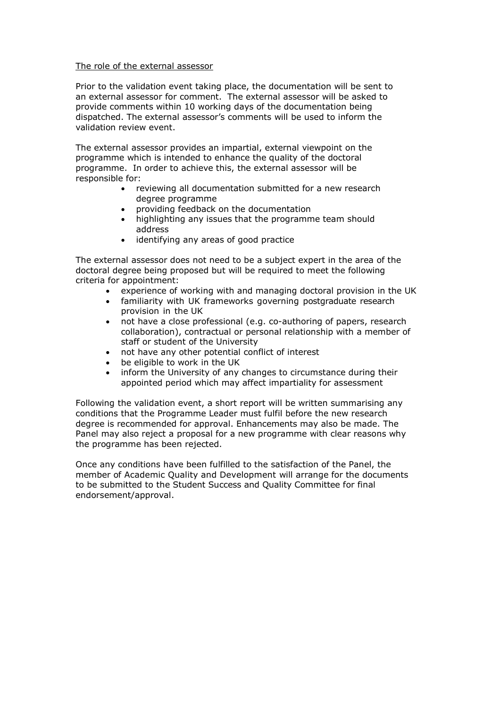#### The role of the external assessor

Prior to the validation event taking place, the documentation will be sent to an external assessor for comment. The external assessor will be asked to provide comments within 10 working days of the documentation being dispatched. The external assessor's comments will be used to inform the validation review event.

The external assessor provides an impartial, external viewpoint on the programme which is intended to enhance the quality of the doctoral programme. In order to achieve this, the external assessor will be responsible for:

- reviewing all documentation submitted for a new research degree programme
- providing feedback on the documentation
- highlighting any issues that the programme team should address
- identifying any areas of good practice

The external assessor does not need to be a subject expert in the area of the doctoral degree being proposed but will be required to meet the following criteria for appointment:

- experience of working with and managing doctoral provision in the UK
- familiarity with UK frameworks governing postgraduate research provision in the UK
- not have a close professional (e.g. co-authoring of papers, research collaboration), contractual or personal relationship with a member of staff or student of the University
- not have any other potential conflict of interest
- be eligible to work in the UK
- inform the University of any changes to circumstance during their appointed period which may affect impartiality for assessment

Following the validation event, a short report will be written summarising any conditions that the Programme Leader must fulfil before the new research degree is recommended for approval. Enhancements may also be made. The Panel may also reject a proposal for a new programme with clear reasons why the programme has been rejected.

Once any conditions have been fulfilled to the satisfaction of the Panel, the member of Academic Quality and Development will arrange for the documents to be submitted to the Student Success and Quality Committee for final endorsement/approval.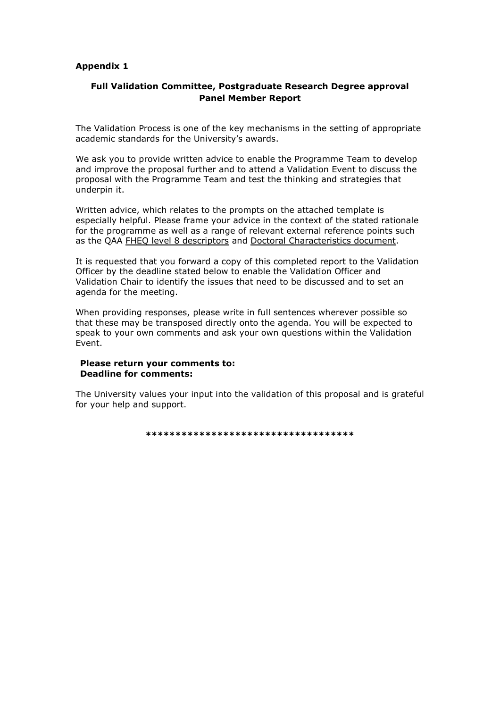#### **Appendix 1**

# **Full Validation Committee, Postgraduate Research Degree approval Panel Member Report**

The Validation Process is one of the key mechanisms in the setting of appropriate academic standards for the University's awards.

We ask you to provide written advice to enable the Programme Team to develop and improve the proposal further and to attend a Validation Event to discuss the proposal with the Programme Team and test the thinking and strategies that underpin it.

Written advice, which relates to the prompts on the attached template is especially helpful. Please frame your advice in the context of the stated rationale for the programme as well as a range of relevant external reference points such as the QAA [FHEQ level 8 descriptors](http://www.qaa.ac.uk/en/Publications/Documents/Framework-Higher-Education-Qualifications-08.pdf) and [Doctoral Characteristics document.](http://www.qaa.ac.uk/en/Publications/Documents/Doctoral_Characteristics.pdf)

It is requested that you forward a copy of this completed report to the Validation Officer by the deadline stated below to enable the Validation Officer and Validation Chair to identify the issues that need to be discussed and to set an agenda for the meeting.

When providing responses, please write in full sentences wherever possible so that these may be transposed directly onto the agenda. You will be expected to speak to your own comments and ask your own questions within the Validation Event.

#### **Please return your comments to: Deadline for comments:**

The University values your input into the validation of this proposal and is grateful for your help and support.

**\*\*\*\*\*\*\*\*\*\*\*\*\*\*\*\*\*\*\*\*\*\*\*\*\*\*\*\*\*\*\*\*\*\*\***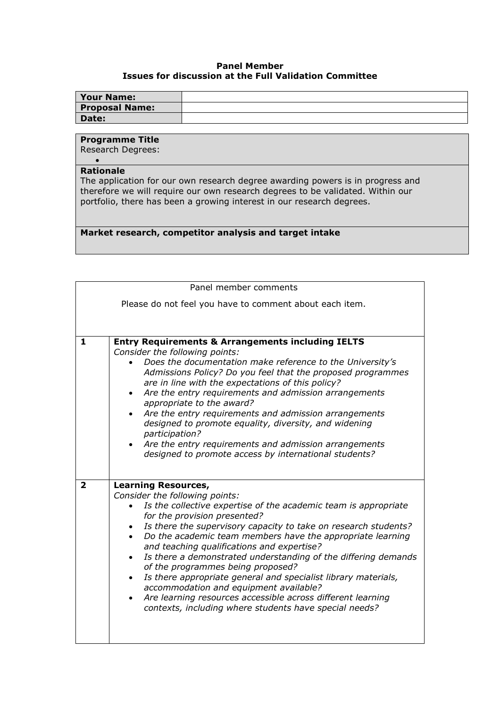## **Panel Member Issues for discussion at the Full Validation Committee**

| <b>Your Name:</b>     |  |
|-----------------------|--|
| <b>Proposal Name:</b> |  |
| Date:                 |  |

# **Programme Title**

Research Degrees:  $\bullet$ 

#### **Rationale**

The application for our own research degree awarding powers is in progress and therefore we will require our own research degrees to be validated. Within our portfolio, there has been a growing interest in our research degrees.

**Market research, competitor analysis and target intake** 

| Panel member comments                                   |                                                                                                                                                                                                                                                                                                                                                                                                                                                                                                                                                                                                                                                                                                         |  |  |  |
|---------------------------------------------------------|---------------------------------------------------------------------------------------------------------------------------------------------------------------------------------------------------------------------------------------------------------------------------------------------------------------------------------------------------------------------------------------------------------------------------------------------------------------------------------------------------------------------------------------------------------------------------------------------------------------------------------------------------------------------------------------------------------|--|--|--|
| Please do not feel you have to comment about each item. |                                                                                                                                                                                                                                                                                                                                                                                                                                                                                                                                                                                                                                                                                                         |  |  |  |
|                                                         |                                                                                                                                                                                                                                                                                                                                                                                                                                                                                                                                                                                                                                                                                                         |  |  |  |
|                                                         |                                                                                                                                                                                                                                                                                                                                                                                                                                                                                                                                                                                                                                                                                                         |  |  |  |
| 1                                                       | <b>Entry Requirements &amp; Arrangements including IELTS</b><br>Consider the following points:<br>Does the documentation make reference to the University's<br>Admissions Policy? Do you feel that the proposed programmes<br>are in line with the expectations of this policy?<br>Are the entry requirements and admission arrangements<br>appropriate to the award?<br>Are the entry requirements and admission arrangements<br>designed to promote equality, diversity, and widening<br>participation?<br>Are the entry requirements and admission arrangements<br>designed to promote access by international students?                                                                             |  |  |  |
| $\overline{\mathbf{2}}$                                 | <b>Learning Resources,</b><br>Consider the following points:<br>Is the collective expertise of the academic team is appropriate<br>for the provision presented?<br>Is there the supervisory capacity to take on research students?<br>Do the academic team members have the appropriate learning<br>and teaching qualifications and expertise?<br>Is there a demonstrated understanding of the differing demands<br>$\bullet$<br>of the programmes being proposed?<br>Is there appropriate general and specialist library materials,<br>accommodation and equipment available?<br>Are learning resources accessible across different learning<br>contexts, including where students have special needs? |  |  |  |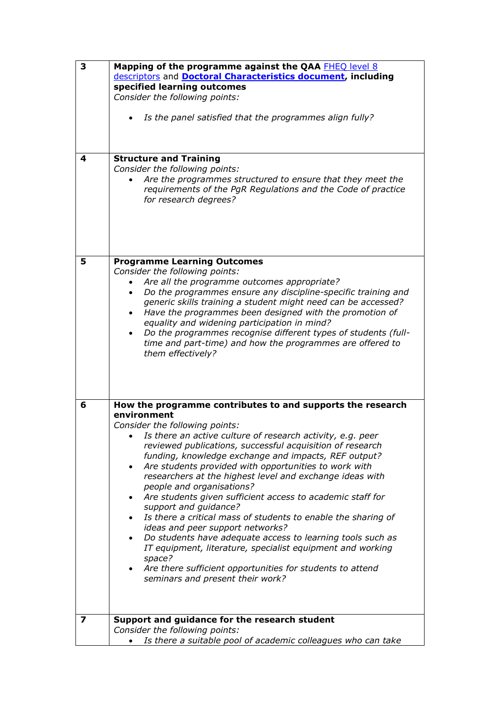| 3 | Mapping of the programme against the QAA FHEO level 8                       |  |  |  |  |
|---|-----------------------------------------------------------------------------|--|--|--|--|
|   | descriptors and <b>Doctoral Characteristics document</b> , including        |  |  |  |  |
|   | specified learning outcomes                                                 |  |  |  |  |
|   | Consider the following points:                                              |  |  |  |  |
|   |                                                                             |  |  |  |  |
|   | Is the panel satisfied that the programmes align fully?                     |  |  |  |  |
|   |                                                                             |  |  |  |  |
|   |                                                                             |  |  |  |  |
|   |                                                                             |  |  |  |  |
| 4 | <b>Structure and Training</b>                                               |  |  |  |  |
|   | Consider the following points:                                              |  |  |  |  |
|   | Are the programmes structured to ensure that they meet the                  |  |  |  |  |
|   | requirements of the PgR Regulations and the Code of practice                |  |  |  |  |
|   | for research degrees?                                                       |  |  |  |  |
|   |                                                                             |  |  |  |  |
|   |                                                                             |  |  |  |  |
|   |                                                                             |  |  |  |  |
|   |                                                                             |  |  |  |  |
|   |                                                                             |  |  |  |  |
| 5 | <b>Programme Learning Outcomes</b>                                          |  |  |  |  |
|   | Consider the following points:                                              |  |  |  |  |
|   | Are all the programme outcomes appropriate?                                 |  |  |  |  |
|   | Do the programmes ensure any discipline-specific training and               |  |  |  |  |
|   |                                                                             |  |  |  |  |
|   | generic skills training a student might need can be accessed?               |  |  |  |  |
|   | Have the programmes been designed with the promotion of                     |  |  |  |  |
|   | equality and widening participation in mind?                                |  |  |  |  |
|   | Do the programmes recognise different types of students (full-<br>$\bullet$ |  |  |  |  |
|   | time and part-time) and how the programmes are offered to                   |  |  |  |  |
|   | them effectively?                                                           |  |  |  |  |
|   |                                                                             |  |  |  |  |
|   |                                                                             |  |  |  |  |
|   |                                                                             |  |  |  |  |
|   |                                                                             |  |  |  |  |
| 6 | How the programme contributes to and supports the research                  |  |  |  |  |
|   | environment                                                                 |  |  |  |  |
|   | Consider the following points:                                              |  |  |  |  |
|   | Is there an active culture of research activity, e.g. peer                  |  |  |  |  |
|   | reviewed publications, successful acquisition of research                   |  |  |  |  |
|   | funding, knowledge exchange and impacts, REF output?                        |  |  |  |  |
|   | Are students provided with opportunities to work with<br>$\bullet$          |  |  |  |  |
|   | researchers at the highest level and exchange ideas with                    |  |  |  |  |
|   | people and organisations?                                                   |  |  |  |  |
|   | Are students given sufficient access to academic staff for                  |  |  |  |  |
|   | support and guidance?                                                       |  |  |  |  |
|   | Is there a critical mass of students to enable the sharing of               |  |  |  |  |
|   | ideas and peer support networks?                                            |  |  |  |  |
|   | Do students have adequate access to learning tools such as                  |  |  |  |  |
|   | IT equipment, literature, specialist equipment and working                  |  |  |  |  |
|   | space?                                                                      |  |  |  |  |
|   | Are there sufficient opportunities for students to attend                   |  |  |  |  |
|   | seminars and present their work?                                            |  |  |  |  |
|   |                                                                             |  |  |  |  |
|   |                                                                             |  |  |  |  |
|   |                                                                             |  |  |  |  |
| 7 | Support and guidance for the research student                               |  |  |  |  |
|   | Consider the following points:                                              |  |  |  |  |
|   | Is there a suitable pool of academic colleagues who can take                |  |  |  |  |
|   |                                                                             |  |  |  |  |